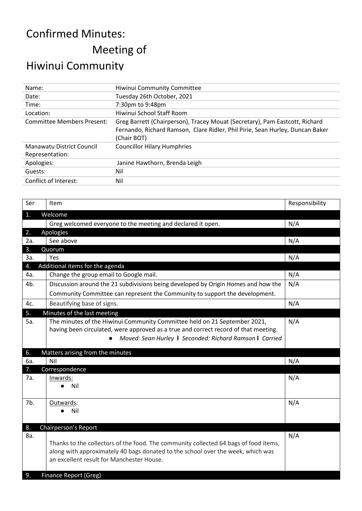## Confirmed Minutes:

Meeting of

## Hiwinui Community

| Name:                             | Hiwinui Community Committee                                                                                                                                                 |  |  |
|-----------------------------------|-----------------------------------------------------------------------------------------------------------------------------------------------------------------------------|--|--|
| Date:                             | Tuesday 26th October, 2021                                                                                                                                                  |  |  |
| Time:                             | 7:30pm to 9:48pm                                                                                                                                                            |  |  |
| Location:                         | Hiwinui School Staff Room                                                                                                                                                   |  |  |
| <b>Committee Members Present:</b> | Greg Barrett (Chairperson), Tracey Mouat (Secretary), Pam Eastcott, Richard<br>Fernando, Richard Ramson, Clare Ridler, Phil Pirie, Sean Hurley, Duncan Baker<br>(Chair BOT) |  |  |
| Manawatu District Council         | <b>Councillor Hilary Humphries</b>                                                                                                                                          |  |  |
| Representation:                   |                                                                                                                                                                             |  |  |
| Apologies:                        | Janine Hawthorn, Brenda Leigh                                                                                                                                               |  |  |
| Guests:                           | Nil                                                                                                                                                                         |  |  |
| Conflict of Interest:             | Nil                                                                                                                                                                         |  |  |
|                                   |                                                                                                                                                                             |  |  |

| Ser | Item                                                                                                                                                                                                                        | Responsibility |
|-----|-----------------------------------------------------------------------------------------------------------------------------------------------------------------------------------------------------------------------------|----------------|
| 1.  | Welcome                                                                                                                                                                                                                     |                |
|     | Greg welcomed everyone to the meeting and declared it open.                                                                                                                                                                 | N/A            |
| 2.  | Apologies                                                                                                                                                                                                                   |                |
| 2a. | See above                                                                                                                                                                                                                   | N/A            |
| 3.  | Quorum                                                                                                                                                                                                                      |                |
| За. | Yes                                                                                                                                                                                                                         | N/A            |
| 4.  | Additional items for the agenda                                                                                                                                                                                             |                |
| 4a. | Change the group email to Google mail.                                                                                                                                                                                      | N/A            |
| 4b. | Discussion around the 21 subdivisions being developed by Origin Homes and how the                                                                                                                                           | N/A            |
|     | Community Committee can represent the Community to support the development.                                                                                                                                                 |                |
| 4c. | Beautifying base of signs.                                                                                                                                                                                                  | N/A            |
| 5.  | Minutes of the last meeting                                                                                                                                                                                                 |                |
| 5a. | The minutes of the Hiwinui Community Committee held on 21 September 2021,<br>having been circulated, were approved as a true and correct record of that meeting.<br>Moved: Sean Hurley I Seconded: Richard Ramson I Carried | N/A            |
| 6.  | Matters arising from the minutes                                                                                                                                                                                            |                |
| 6a. | Nil                                                                                                                                                                                                                         | N/A            |
| 7.  | Correspondence                                                                                                                                                                                                              |                |
| 7а. | Inwards:                                                                                                                                                                                                                    | N/A            |
|     | Nil                                                                                                                                                                                                                         |                |
| 7b. | Outwards:                                                                                                                                                                                                                   | N/A            |
|     | Nil                                                                                                                                                                                                                         |                |
|     |                                                                                                                                                                                                                             |                |
| 8.  | Chairperson's Report                                                                                                                                                                                                        |                |
| 8a. | Thanks to the collectors of the food. The community collected 64 bags of food items,<br>along with approximately 40 bags donated to the school over the week, which was<br>an excellent result for Manchester House.        | N/A            |
| 9.  | <b>Finance Report (Greg)</b>                                                                                                                                                                                                |                |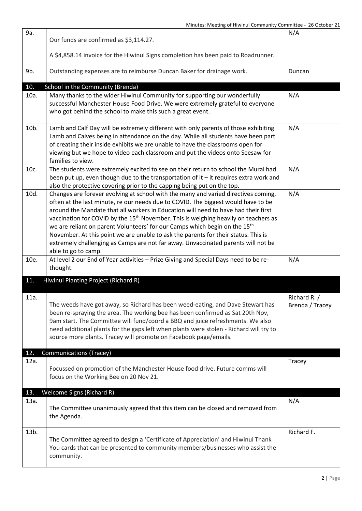| 9a.         | Our funds are confirmed as \$3,114.27.<br>A \$4,858.14 invoice for the Hiwinui Signs completion has been paid to Roadrunner.                                                                                                                                                                                                                                                                                                                                                                                                                                                                                                                                 | N/A                             |
|-------------|--------------------------------------------------------------------------------------------------------------------------------------------------------------------------------------------------------------------------------------------------------------------------------------------------------------------------------------------------------------------------------------------------------------------------------------------------------------------------------------------------------------------------------------------------------------------------------------------------------------------------------------------------------------|---------------------------------|
| 9b.         | Outstanding expenses are to reimburse Duncan Baker for drainage work.                                                                                                                                                                                                                                                                                                                                                                                                                                                                                                                                                                                        | Duncan                          |
|             |                                                                                                                                                                                                                                                                                                                                                                                                                                                                                                                                                                                                                                                              |                                 |
| 10.         | School in the Community (Brenda)                                                                                                                                                                                                                                                                                                                                                                                                                                                                                                                                                                                                                             | N/A                             |
| 10a.        | Many thanks to the wider Hiwinui Community for supporting our wonderfully<br>successful Manchester House Food Drive. We were extremely grateful to everyone<br>who got behind the school to make this such a great event.                                                                                                                                                                                                                                                                                                                                                                                                                                    |                                 |
| 10b.        | Lamb and Calf Day will be extremely different with only parents of those exhibiting<br>Lamb and Calves being in attendance on the day. While all students have been part<br>of creating their inside exhibits we are unable to have the classrooms open for<br>viewing but we hope to video each classroom and put the videos onto Seesaw for<br>families to view.                                                                                                                                                                                                                                                                                           | N/A                             |
| 10c.        | The students were extremely excited to see on their return to school the Mural had<br>been put up, even though due to the transportation of it - it requires extra work and<br>also the protective covering prior to the capping being put on the top.                                                                                                                                                                                                                                                                                                                                                                                                       | N/A                             |
| 10d.        | Changes are forever evolving at school with the many and varied directives coming,<br>often at the last minute, re our needs due to COVID. The biggest would have to be<br>around the Mandate that all workers in Education will need to have had their first<br>vaccination for COVID by the 15 <sup>th</sup> November. This is weighing heavily on teachers as<br>we are reliant on parent Volunteers' for our Camps which begin on the 15 <sup>th</sup><br>November. At this point we are unable to ask the parents for their status. This is<br>extremely challenging as Camps are not far away. Unvaccinated parents will not be<br>able to go to camp. | N/A                             |
| 10e.        | At level 2 our End of Year activities - Prize Giving and Special Days need to be re-<br>thought.                                                                                                                                                                                                                                                                                                                                                                                                                                                                                                                                                             | N/A                             |
| 11.         | Hiwinui Planting Project (Richard R)                                                                                                                                                                                                                                                                                                                                                                                                                                                                                                                                                                                                                         |                                 |
| 11a.        | The weeds have got away, so Richard has been weed-eating, and Dave Stewart has<br>been re-spraying the area. The working bee has been confirmed as Sat 20th Nov,<br>9am start. The Committee will fund/coord a BBQ and juice refreshments. We also<br>need additional plants for the gaps left when plants were stolen - Richard will try to<br>source more plants. Tracey will promote on Facebook page/emails.                                                                                                                                                                                                                                             | Richard R. /<br>Brenda / Tracey |
| 12.<br>12a. | <b>Communications (Tracey)</b><br>Focussed on promotion of the Manchester House food drive. Future comms will<br>focus on the Working Bee on 20 Nov 21.                                                                                                                                                                                                                                                                                                                                                                                                                                                                                                      | Tracey                          |
| 13.         | <b>Welcome Signs (Richard R)</b>                                                                                                                                                                                                                                                                                                                                                                                                                                                                                                                                                                                                                             |                                 |
| 13a.        | The Committee unanimously agreed that this item can be closed and removed from<br>the Agenda.                                                                                                                                                                                                                                                                                                                                                                                                                                                                                                                                                                | N/A                             |
| 13b.        | The Committee agreed to design a 'Certificate of Appreciation' and Hiwinui Thank<br>You cards that can be presented to community members/businesses who assist the<br>community.                                                                                                                                                                                                                                                                                                                                                                                                                                                                             | Richard F.                      |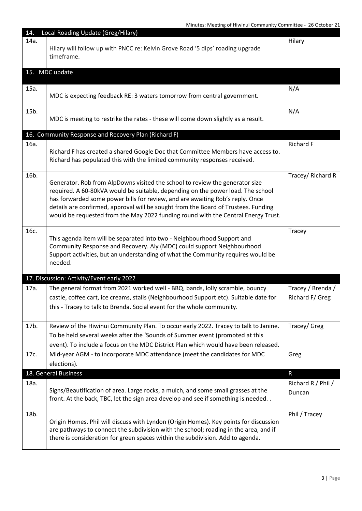Minutes: Meeting of Hiwinui Community Committee - 26 October 21

| 14.  | Local Roading Update (Greg/Hilary)                                                                                                                                                                                                                                                                                                                                                                                          |                                      |
|------|-----------------------------------------------------------------------------------------------------------------------------------------------------------------------------------------------------------------------------------------------------------------------------------------------------------------------------------------------------------------------------------------------------------------------------|--------------------------------------|
| 14a. | Hilary will follow up with PNCC re: Kelvin Grove Road '5 dips' roading upgrade<br>timeframe.                                                                                                                                                                                                                                                                                                                                | Hilary                               |
|      | 15. MDC update                                                                                                                                                                                                                                                                                                                                                                                                              |                                      |
| 15a. | MDC is expecting feedback RE: 3 waters tomorrow from central government.                                                                                                                                                                                                                                                                                                                                                    | N/A                                  |
| 15b. | MDC is meeting to restrike the rates - these will come down slightly as a result.                                                                                                                                                                                                                                                                                                                                           | N/A                                  |
|      | 16. Community Response and Recovery Plan (Richard F)                                                                                                                                                                                                                                                                                                                                                                        |                                      |
| 16a. | Richard F has created a shared Google Doc that Committee Members have access to.<br>Richard has populated this with the limited community responses received.                                                                                                                                                                                                                                                               | Richard F                            |
| 16b. | Generator. Rob from AlpDowns visited the school to review the generator size<br>required. A 60-80kVA would be suitable, depending on the power load. The school<br>has forwarded some power bills for review, and are awaiting Rob's reply. Once<br>details are confirmed, approval will be sought from the Board of Trustees. Funding<br>would be requested from the May 2022 funding round with the Central Energy Trust. | Tracey/ Richard R                    |
| 16с. | This agenda item will be separated into two - Neighbourhood Support and<br>Community Response and Recovery. Aly (MDC) could support Neighbourhood<br>Support activities, but an understanding of what the Community requires would be<br>needed.                                                                                                                                                                            | Tracey                               |
|      | 17. Discussion: Activity/Event early 2022                                                                                                                                                                                                                                                                                                                                                                                   |                                      |
| 17a. | The general format from 2021 worked well - BBQ, bands, lolly scramble, bouncy<br>castle, coffee cart, ice creams, stalls (Neighbourhood Support etc). Suitable date for<br>this - Tracey to talk to Brenda. Social event for the whole community.                                                                                                                                                                           | Tracey / Brenda /<br>Richard F/ Greg |
| 17b. | Review of the Hiwinui Community Plan. To occur early 2022. Tracey to talk to Janine.<br>To be held several weeks after the 'Sounds of Summer event (promoted at this<br>event). To include a focus on the MDC District Plan which would have been released.                                                                                                                                                                 | Tracey/ Greg                         |
| 17c. | Mid-year AGM - to incorporate MDC attendance (meet the candidates for MDC<br>elections).                                                                                                                                                                                                                                                                                                                                    | Greg                                 |
|      | 18. General Business                                                                                                                                                                                                                                                                                                                                                                                                        | $\mathsf{R}$                         |
| 18a. | Signs/Beautification of area. Large rocks, a mulch, and some small grasses at the<br>front. At the back, TBC, let the sign area develop and see if something is needed                                                                                                                                                                                                                                                      | Richard R / Phil /<br>Duncan         |
| 18b. | Origin Homes. Phil will discuss with Lyndon (Origin Homes). Key points for discussion<br>are pathways to connect the subdivision with the school; roading in the area, and if<br>there is consideration for green spaces within the subdivision. Add to agenda.                                                                                                                                                             | Phil / Tracey                        |